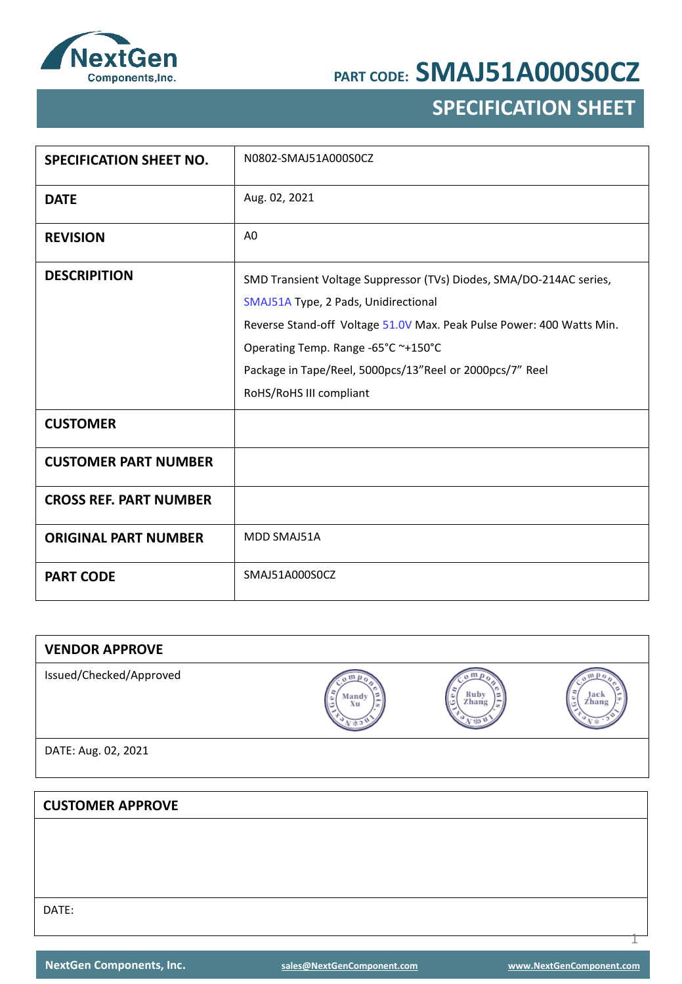

## **SPECIFICATION SHEET**

| <b>SPECIFICATION SHEET NO.</b> | N0802-SMAJ51A000S0CZ                                                                                                                                                                                                                                                                                               |
|--------------------------------|--------------------------------------------------------------------------------------------------------------------------------------------------------------------------------------------------------------------------------------------------------------------------------------------------------------------|
| <b>DATE</b>                    | Aug. 02, 2021                                                                                                                                                                                                                                                                                                      |
| <b>REVISION</b>                | A <sub>0</sub>                                                                                                                                                                                                                                                                                                     |
| <b>DESCRIPITION</b>            | SMD Transient Voltage Suppressor (TVs) Diodes, SMA/DO-214AC series,<br>SMAJ51A Type, 2 Pads, Unidirectional<br>Reverse Stand-off Voltage 51.0V Max. Peak Pulse Power: 400 Watts Min.<br>Operating Temp. Range -65°C ~+150°C<br>Package in Tape/Reel, 5000pcs/13"Reel or 2000pcs/7" Reel<br>RoHS/RoHS III compliant |
| <b>CUSTOMER</b>                |                                                                                                                                                                                                                                                                                                                    |
| <b>CUSTOMER PART NUMBER</b>    |                                                                                                                                                                                                                                                                                                                    |
| <b>CROSS REF. PART NUMBER</b>  |                                                                                                                                                                                                                                                                                                                    |
| <b>ORIGINAL PART NUMBER</b>    | MDD SMAJ51A                                                                                                                                                                                                                                                                                                        |
| <b>PART CODE</b>               | SMAJ51A000S0CZ                                                                                                                                                                                                                                                                                                     |

| <b>VENDOR APPROVE</b>   |             |                                    |               |
|-------------------------|-------------|------------------------------------|---------------|
| Issued/Checked/Approved | Mandy<br>Xu | $\mathbf{m}$<br>Ruby<br>Zhang<br>ø | Jack<br>Zhang |
| DATE: Aug. 02, 2021     |             |                                    |               |
|                         |             |                                    |               |
| <b>CUSTOMER APPROVE</b> |             |                                    |               |
|                         |             |                                    |               |
|                         |             |                                    |               |
|                         |             |                                    |               |
| DATE:                   |             |                                    |               |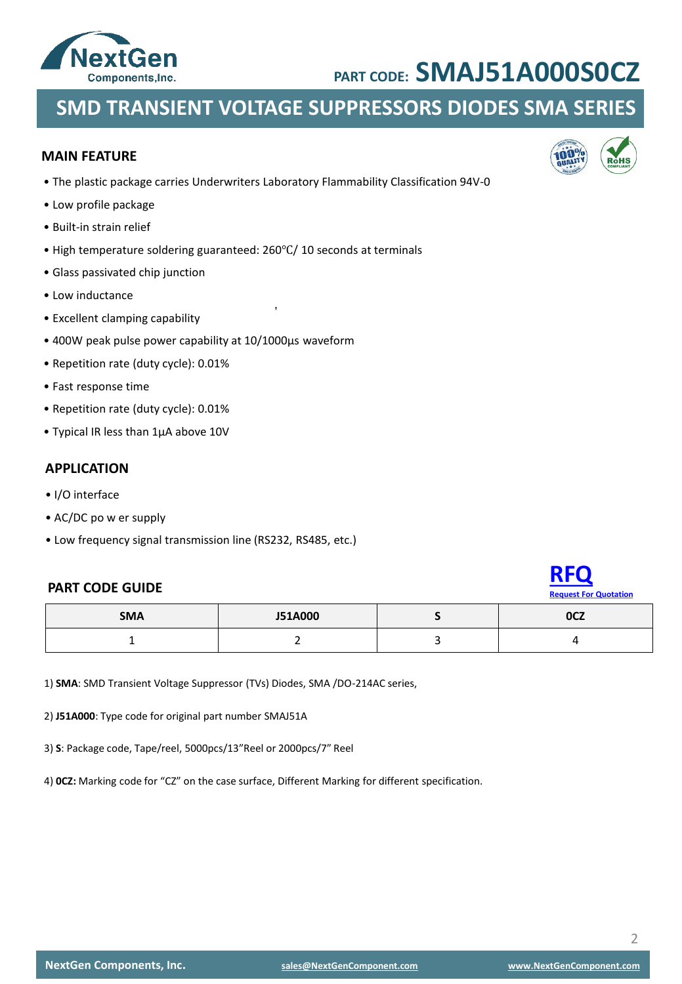

### **SMD TRANSIENT VOLTAGE SUPPRESSORS DIODES SMA SERIES**

#### **MAIN FEATURE**

• The plastic package carries Underwriters Laboratory Flammability Classification 94V-0

,

- Low profile package
- Built-in strain relief
- High temperature soldering guaranteed: 260℃/ 10 seconds at terminals
- Glass passivated chip junction
- Low inductance
- Excellent clamping capability
- 400W peak pulse power capability at 10/1000μs waveform
- Repetition rate (duty cycle): 0.01%
- Fast response time
- Repetition rate (duty cycle): 0.01%
- Typical IR less than 1μA above 10V

#### **APPLICATION**

- I/O interface
- AC/DC po w er supply
- Low frequency signal transmission line (RS232, RS485, etc.)

#### **PART CODE GUIDE**



| <b>SMA</b> | <b>J51A000</b> | <b>OCZ</b> |
|------------|----------------|------------|
|            |                |            |

1) **SMA**: SMD Transient Voltage Suppressor (TVs) Diodes, SMA /DO-214AC series,

2) **J51A000**: Type code for original part number SMAJ51A

3) **S**: Package code, Tape/reel, 5000pcs/13"Reel or 2000pcs/7" Reel

4) **0CZ:** Marking code for "CZ" on the case surface, Different Marking for different specification.

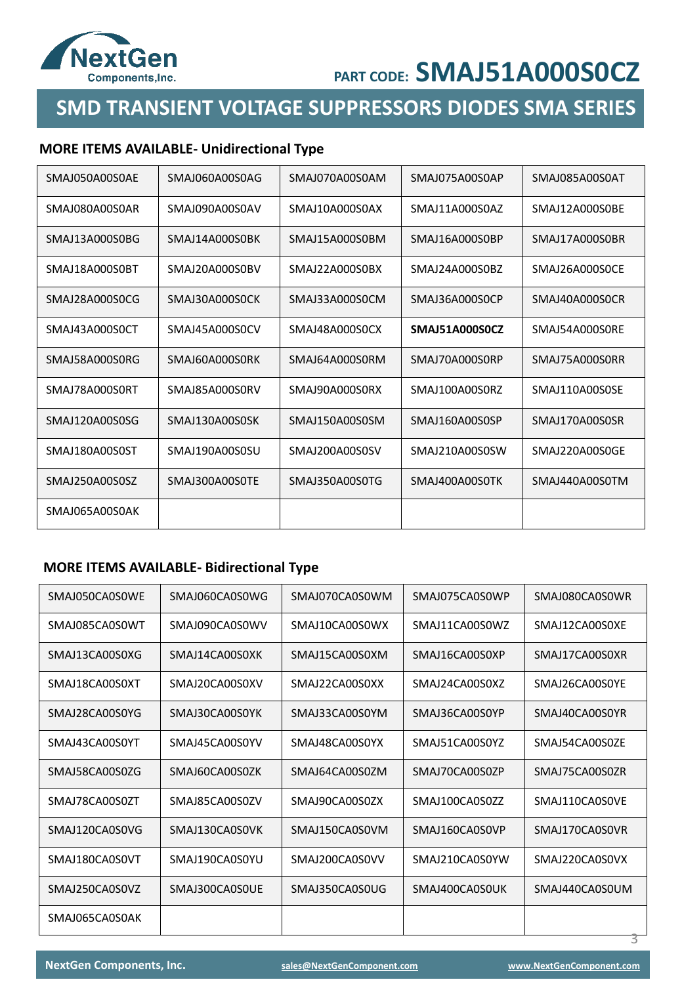

### **SMD TRANSIENT VOLTAGE SUPPRESSORS DIODES SMA SERIES**

### **MORE ITEMS AVAILABLE- Unidirectional Type**

| SMAJ050A00S0AE | SMAJ060A00S0AG | SMAJ070A00S0AM | SMAJ075A00S0AP | SMAJ085A00S0AT |
|----------------|----------------|----------------|----------------|----------------|
| SMAJ080A00S0AR | SMAJ090A00S0AV | SMAJ10A000S0AX | SMAJ11A000S0AZ | SMAJ12A000S0BE |
| SMAJ13A000S0BG | SMAJ14A000S0BK | SMAJ15A000S0BM | SMAJ16A000S0BP | SMAJ17A000S0BR |
| SMAJ18A000S0BT | SMAJ20A000S0BV | SMAJ22A000S0BX | SMAJ24A000S0BZ | SMAJ26A000S0CE |
| SMAJ28A000S0CG | SMAJ30A000S0CK | SMAJ33A000S0CM | SMAJ36A000S0CP | SMAJ40A000S0CR |
| SMAJ43A000S0CT | SMAJ45A000S0CV | SMAJ48A000S0CX | SMAJ51A000S0CZ | SMAI54A000S0RF |
| SMAJ58A000S0RG | SMAI60A000S0RK | SMAI64A000S0RM | SMAJ70A000S0RP | SMAJ75A000S0RR |
| SMAJ78A000S0RT | SMAI85A000S0RV | SMAJ90A000S0RX | SMAJ100A00S0RZ | SMAJ110A00S0SE |
| SMAJ120A00S0SG | SMAJ130A00S0SK | SMAJ150A00S0SM | SMAJ160A00S0SP | SMAJ170A00S0SR |
| SMAJ180A00S0ST | SMAJ190A00S0SU | SMAJ200A00S0SV | SMAJ210A00S0SW | SMAJ220A00S0GE |
| SMAJ250A00S0SZ | SMAJ300A00S0TE | SMAJ350A00S0TG | SMAJ400A00S0TK | SMAJ440A00S0TM |
| SMAJ065A00S0AK |                |                |                |                |

### **MORE ITEMS AVAILABLE- Bidirectional Type**

| SMAI050CA0S0WF | SMAI060CA0S0WG | SMAI070CA0S0WM | SMAJ075CA0S0WP | SMAJ080CA0S0WR |
|----------------|----------------|----------------|----------------|----------------|
| SMAJ085CA0S0WT | SMAJ090CA0S0WV | SMAJ10CA00S0WX | SMAJ11CA00S0WZ | SMAJ12CA00S0XE |
| SMAJ13CA00S0XG | SMAJ14CA00S0XK | SMAJ15CA00S0XM | SMAJ16CA00S0XP | SMAJ17CA00S0XR |
| SMAJ18CA00S0XT | SMAJ20CA00S0XV | SMAJ22CA00S0XX | SMAJ24CA00S0XZ | SMAJ26CA00S0YE |
| SMAJ28CA00S0YG | SMAI30CA00S0YK | SMAI33CA00S0YM | SMAI36CA00S0YP | SMAJ40CA00S0YR |
| SMAJ43CA00S0YT | SMAJ45CA00S0YV | SMAJ48CA00S0YX | SMAJ51CA00S0YZ | SMAJ54CA00S0ZE |
| SMAI58CA00S07G | SMAI60CA00S07K | SMAI64CA00S07M | SMAJ70CA00S07P | SMAJ75CA00S07R |
| SMAI78CA00S07T | SMAI85CA00S07V | SMAJ90CA00S07X | SMAJ100CA0S0ZZ | SMAJ110CA0S0VF |
| SMAJ120CA0S0VG | SMAJ130CA0S0VK | SMAJ150CA0S0VM | SMAJ160CA0S0VP | SMAJ170CA0S0VR |
| SMAJ180CA0S0VT | SMAJ190CA0S0YU | SMAJ200CA0S0VV | SMAJ210CA0S0YW | SMAJ220CA0S0VX |
| SMAJ250CA0S0VZ | SMAJ300CA0S0UE | SMAJ350CA0S0UG | SMAJ400CA0S0UK | SMAJ440CA0S0UM |
| SMAI065CA0S0AK |                |                |                |                |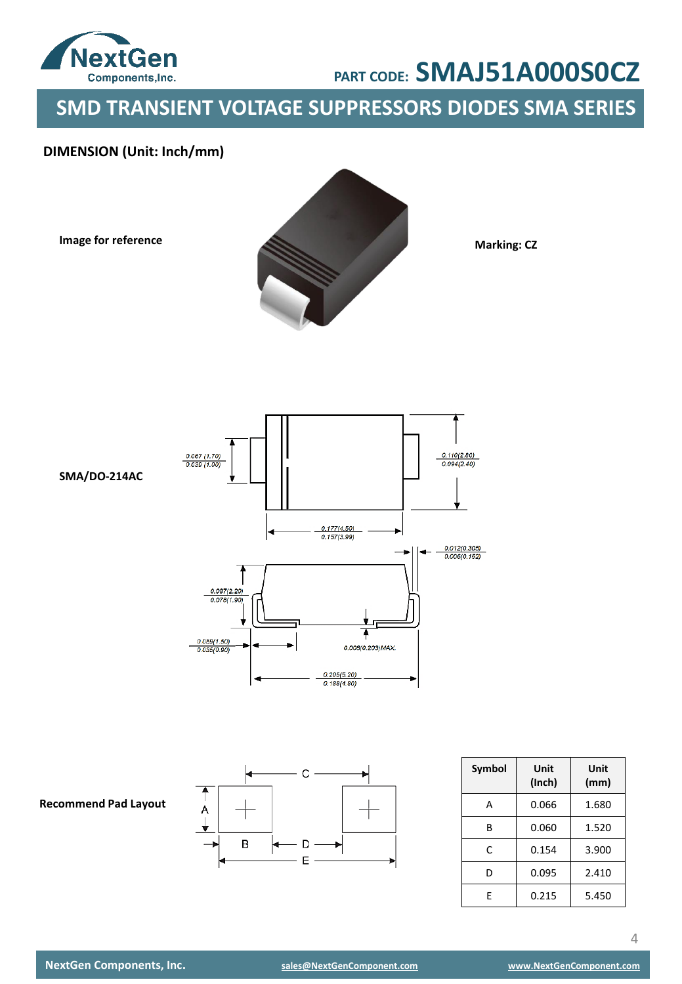

**SMD TRANSIENT VOLTAGE SUPPRESSORS DIODES SMA SERIES**

### **DIMENSION (Unit: Inch/mm)**

**Image for reference**



**Marking: CZ**





| Symbol | Unit<br>(Inch) | Unit<br>(mm) |
|--------|----------------|--------------|
| А      | 0.066          | 1.680        |
| R      | 0.060          | 1.520        |
| C      | 0.154          | 3.900        |
| D      | 0.095          | 2.410        |
| F      | 0.215          | 5.450        |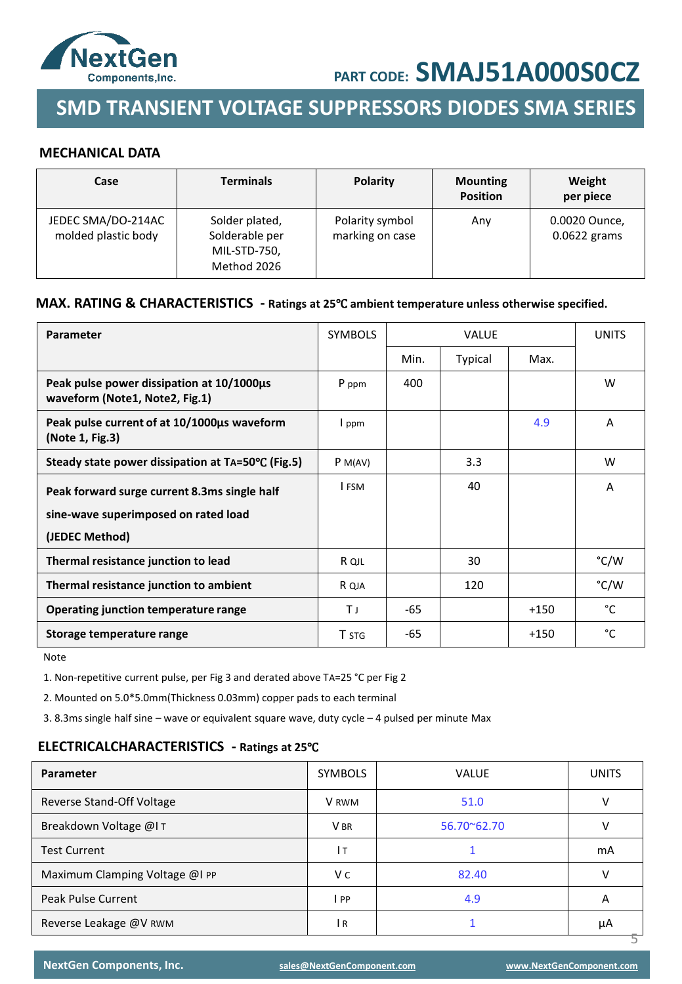

### **SMD TRANSIENT VOLTAGE SUPPRESSORS DIODES SMA SERIES**

#### **MECHANICAL DATA**

| Case                                      | <b>Terminals</b>                                                | <b>Polarity</b>                    | <b>Mounting</b><br><b>Position</b> | Weight<br>per piece             |
|-------------------------------------------|-----------------------------------------------------------------|------------------------------------|------------------------------------|---------------------------------|
| JEDEC SMA/DO-214AC<br>molded plastic body | Solder plated,<br>Solderable per<br>MIL-STD-750,<br>Method 2026 | Polarity symbol<br>marking on case | Any                                | 0.0020 Ounce,<br>$0.0622$ grams |

#### **MAX. RATING & CHARACTERISTICS - Ratings at 25**℃ **ambient temperature unless otherwise specified.**

| <b>Parameter</b>                                                            | <b>SYMBOLS</b> |      | <b>VALUE</b> |        | <b>UNITS</b> |
|-----------------------------------------------------------------------------|----------------|------|--------------|--------|--------------|
|                                                                             |                | Min. | Typical      | Max.   |              |
| Peak pulse power dissipation at 10/1000us<br>waveform (Note1, Note2, Fig.1) | P ppm          | 400  |              |        | W            |
| Peak pulse current of at 10/1000us waveform<br>(Note 1, Fig.3)              | I ppm          |      |              | 4.9    | A            |
| Steady state power dissipation at TA=50°C (Fig.5)                           | P M(AV)        |      | 3.3          |        | W            |
| Peak forward surge current 8.3ms single half                                | I FSM          |      | 40           |        | A            |
| sine-wave superimposed on rated load                                        |                |      |              |        |              |
| (JEDEC Method)                                                              |                |      |              |        |              |
| Thermal resistance junction to lead                                         | R QJL          |      | 30           |        | °C/W         |
| Thermal resistance junction to ambient                                      | R QJA          |      | 120          |        | °C/W         |
| Operating junction temperature range                                        | ΤJ             | -65  |              | $+150$ | °C           |
| Storage temperature range                                                   | <b>T</b> STG   | -65  |              | $+150$ | °C           |

Note

1. Non-repetitive current pulse, per Fig 3 and derated above TA=25 °C per Fig 2

2. Mounted on 5.0\*5.0mm(Thickness 0.03mm) copper pads to each terminal

3. 8.3ms single half sine – wave or equivalent square wave, duty cycle – 4 pulsed per minute Max

#### **ELECTRICALCHARACTERISTICS - Ratings at 25**℃

| Parameter                      | <b>SYMBOLS</b>  | <b>VALUE</b> | <b>UNITS</b> |
|--------------------------------|-----------------|--------------|--------------|
| Reverse Stand-Off Voltage      | V RWM           | 51.0         |              |
| Breakdown Voltage @IT          | V <sub>BR</sub> | 56.70~62.70  |              |
| <b>Test Current</b>            | Iт              |              | mA           |
| Maximum Clamping Voltage @I PP | V c             | 82.40        | v            |
| <b>Peak Pulse Current</b>      | PP              | 4.9          | A            |
| Reverse Leakage @V RWM         | l R             |              | μA           |

**NextGen Components, Inc. [sales@NextGenComponent.com](mailto:sales@NextGenComponent.com) [www.NextGenComponent.com](http://www.nextgencomponent.com/)**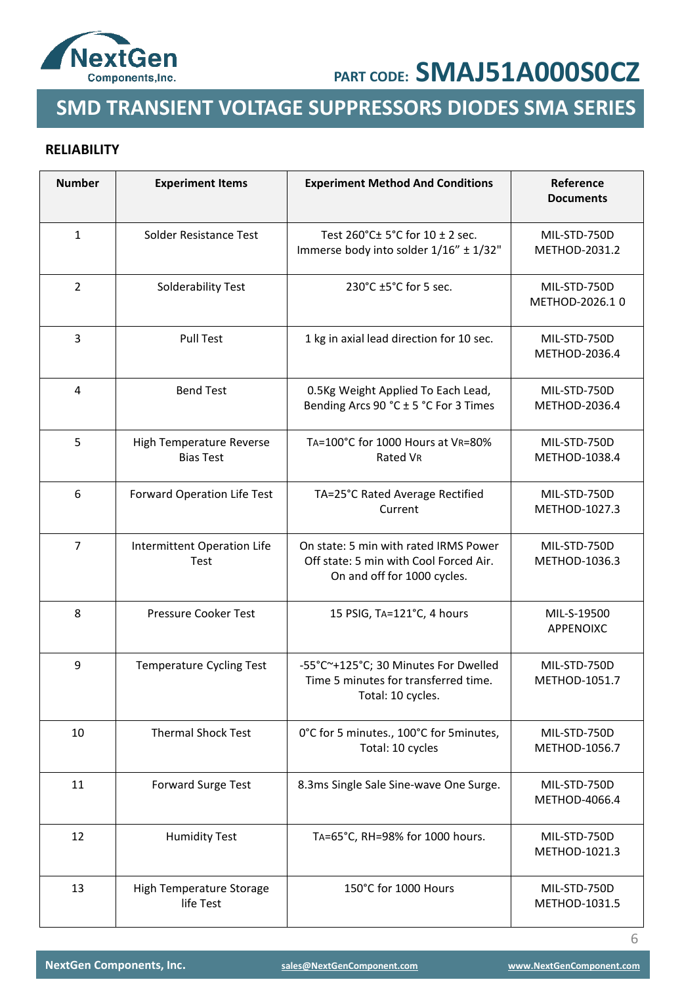

## **SMD TRANSIENT VOLTAGE SUPPRESSORS DIODES SMA SERIES**

### **RELIABILITY**

| <b>Number</b>  | <b>Experiment Items</b>                      | <b>Experiment Method And Conditions</b>                                                                        | Reference<br><b>Documents</b>  |
|----------------|----------------------------------------------|----------------------------------------------------------------------------------------------------------------|--------------------------------|
| $\mathbf{1}$   | Solder Resistance Test                       | Test 260°C± 5°C for 10 ± 2 sec.<br>Immerse body into solder 1/16" ± 1/32"                                      | MIL-STD-750D<br>METHOD-2031.2  |
| 2              | Solderability Test                           | 230°C ±5°C for 5 sec.                                                                                          | MIL-STD-750D<br>METHOD-2026.10 |
| 3              | <b>Pull Test</b>                             | 1 kg in axial lead direction for 10 sec.                                                                       | MIL-STD-750D<br>METHOD-2036.4  |
| 4              | <b>Bend Test</b>                             | 0.5Kg Weight Applied To Each Lead,<br>Bending Arcs 90 °C ± 5 °C For 3 Times                                    | MIL-STD-750D<br>METHOD-2036.4  |
| 5              | High Temperature Reverse<br><b>Bias Test</b> | TA=100°C for 1000 Hours at VR=80%<br>Rated VR                                                                  | MIL-STD-750D<br>METHOD-1038.4  |
| 6              | Forward Operation Life Test                  | TA=25°C Rated Average Rectified<br>Current                                                                     | MIL-STD-750D<br>METHOD-1027.3  |
| $\overline{7}$ | Intermittent Operation Life<br>Test          | On state: 5 min with rated IRMS Power<br>Off state: 5 min with Cool Forced Air.<br>On and off for 1000 cycles. | MIL-STD-750D<br>METHOD-1036.3  |
| 8              | Pressure Cooker Test                         | 15 PSIG, TA=121°C, 4 hours                                                                                     | MIL-S-19500<br>APPENOIXC       |
| 9              | <b>Temperature Cycling Test</b>              | -55°C~+125°C; 30 Minutes For Dwelled<br>Time 5 minutes for transferred time.<br>Total: 10 cycles.              | MIL-STD-750D<br>METHOD-1051.7  |
| 10             | <b>Thermal Shock Test</b>                    | 0°C for 5 minutes., 100°C for 5 minutes,<br>Total: 10 cycles                                                   | MIL-STD-750D<br>METHOD-1056.7  |
| 11             | <b>Forward Surge Test</b>                    | 8.3ms Single Sale Sine-wave One Surge.                                                                         | MIL-STD-750D<br>METHOD-4066.4  |
| 12             | <b>Humidity Test</b>                         | TA=65°C, RH=98% for 1000 hours.                                                                                | MIL-STD-750D<br>METHOD-1021.3  |
| 13             | High Temperature Storage<br>life Test        | 150°C for 1000 Hours                                                                                           | MIL-STD-750D<br>METHOD-1031.5  |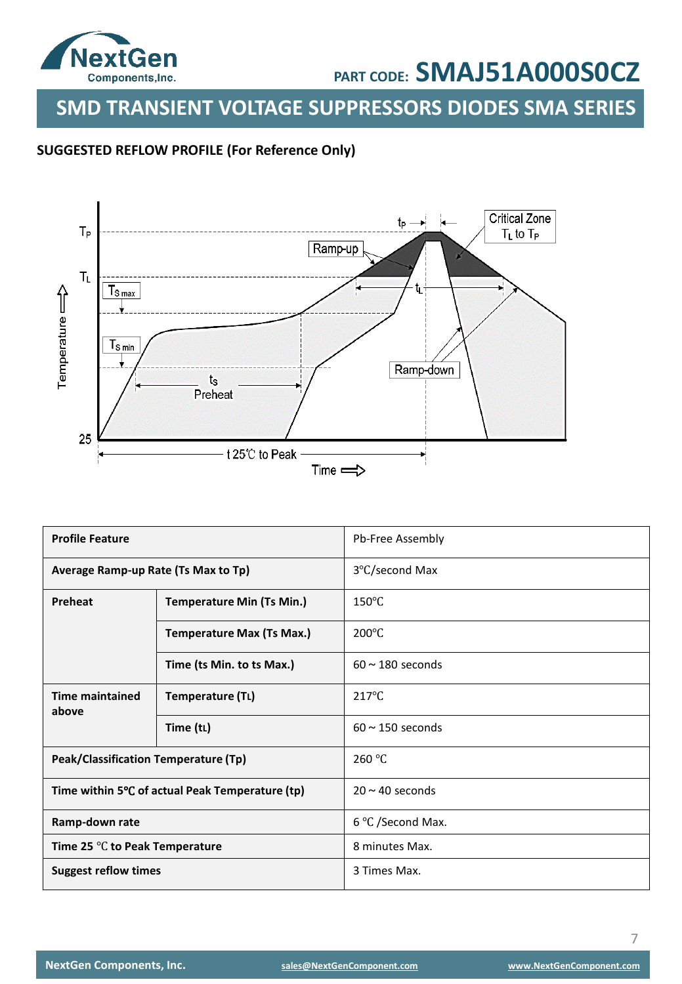

**SMD TRANSIENT VOLTAGE SUPPRESSORS DIODES SMA SERIES**

### **SUGGESTED REFLOW PROFILE (For Reference Only)**



| <b>Profile Feature</b>               |                                                 | Pb-Free Assembly      |
|--------------------------------------|-------------------------------------------------|-----------------------|
| Average Ramp-up Rate (Ts Max to Tp)  |                                                 | 3°C/second Max        |
| Preheat                              | <b>Temperature Min (Ts Min.)</b>                | $150^{\circ}$ C       |
|                                      | <b>Temperature Max (Ts Max.)</b>                | $200^{\circ}$ C       |
|                                      | Time (ts Min. to ts Max.)                       | $60 \sim 180$ seconds |
| <b>Time maintained</b><br>above      | Temperature (TL)                                | $217^{\circ}$ C       |
|                                      | Time (tL)                                       | $60 \sim 150$ seconds |
| Peak/Classification Temperature (Tp) |                                                 | 260 °C                |
|                                      | Time within 5°C of actual Peak Temperature (tp) | $20 \sim 40$ seconds  |
| Ramp-down rate                       |                                                 | 6 °C /Second Max.     |
| Time 25 °C to Peak Temperature       |                                                 | 8 minutes Max.        |
| <b>Suggest reflow times</b>          |                                                 | 3 Times Max.          |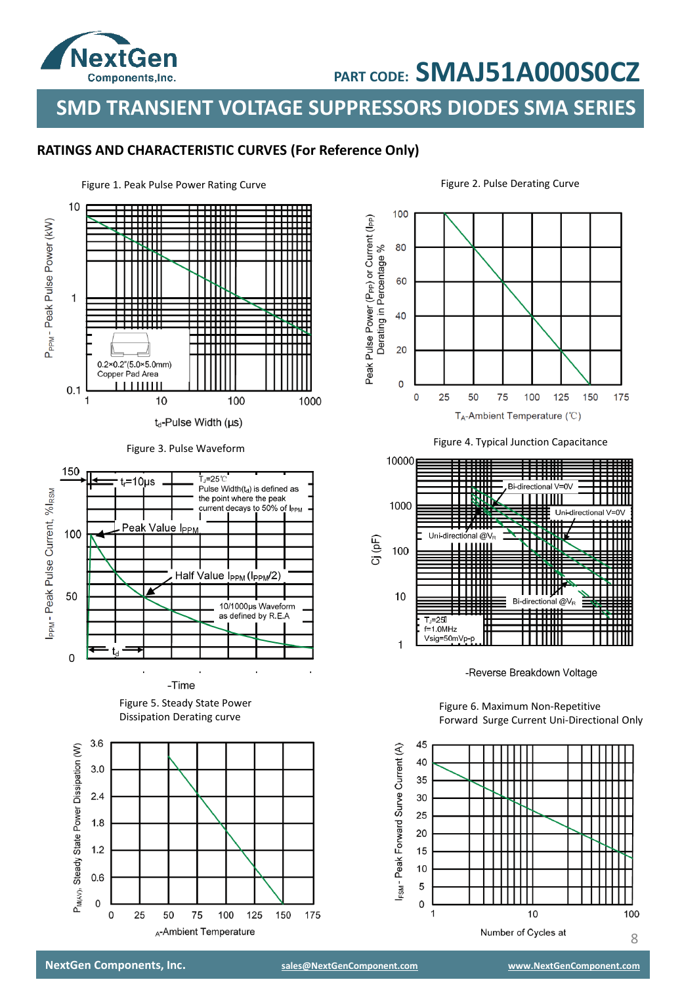

**SMD TRANSIENT VOLTAGE SUPPRESSORS DIODES SMA SERIES**

### **RATINGS AND CHARACTERISTIC CURVES (For Reference Only)**





-Time

Figure 5. Steady State Power Dissipation Derating curve







-Reverse Breakdown Voltage

Figure 6. Maximum Non-Repetitive Forward Surge Current Uni-Directional Only

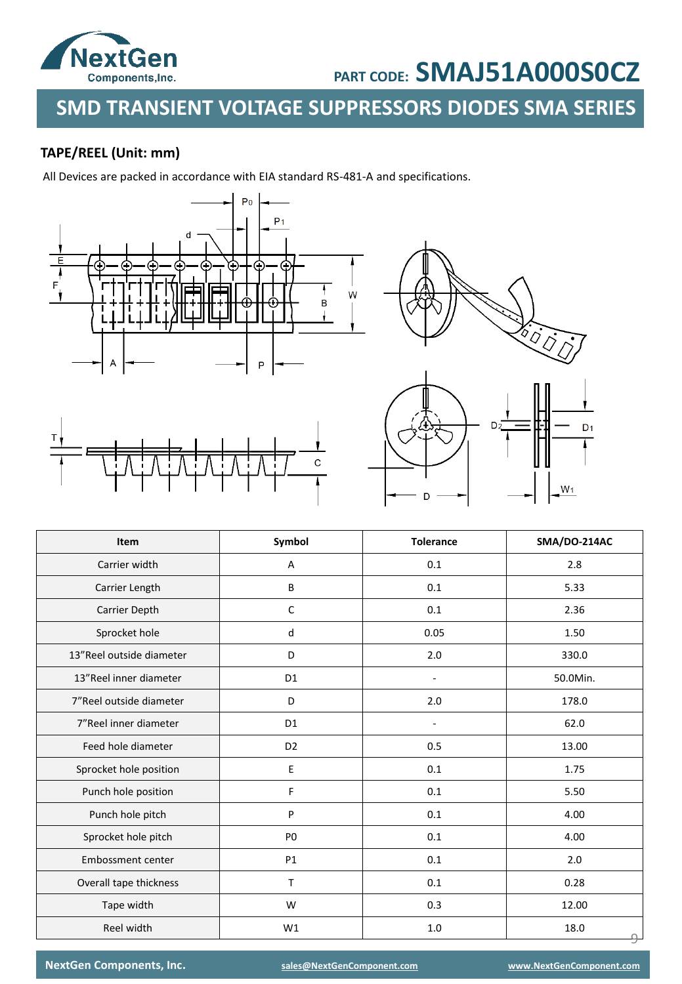

## **SMD TRANSIENT VOLTAGE SUPPRESSORS DIODES SMA SERIES**

### **TAPE/REEL (Unit: mm)**

All Devices are packed in accordance with EIA standard RS-481-A and specifications.





| <b>Item</b>              | Symbol         | <b>Tolerance</b> | SMA/DO-214AC |
|--------------------------|----------------|------------------|--------------|
| Carrier width            | Α              | 0.1              |              |
| Carrier Length           | B              | 0.1              | 5.33         |
| Carrier Depth            | C              | 0.1              | 2.36         |
| Sprocket hole            | d              | 0.05             | 1.50         |
| 13"Reel outside diameter | D              | 2.0              | 330.0        |
| 13"Reel inner diameter   | D <sub>1</sub> | ÷,               | 50.0Min.     |
| 7"Reel outside diameter  | D              | 2.0              | 178.0        |
| 7"Reel inner diameter    | D <sub>1</sub> | ä,               | 62.0         |
| Feed hole diameter       | D <sub>2</sub> | 0.5              | 13.00        |
| Sprocket hole position   | E              | 0.1              | 1.75         |
| Punch hole position      | F              | 0.1              | 5.50         |
| Punch hole pitch         | P              | 0.1              | 4.00         |
| Sprocket hole pitch      | P <sub>0</sub> | 0.1              | 4.00         |
| <b>Embossment center</b> | <b>P1</b>      | 0.1              | 2.0          |
| Overall tape thickness   | T              | 0.1              | 0.28         |
| Tape width               | W              | 0.3              | 12.00        |
| Reel width               | W1             | 1.0              | 18.0         |

**NextGen Components, Inc. [sales@NextGenComponent.com](mailto:sales@NextGenComponent.com) [www.NextGenComponent.com](http://www.nextgencomponent.com/)**